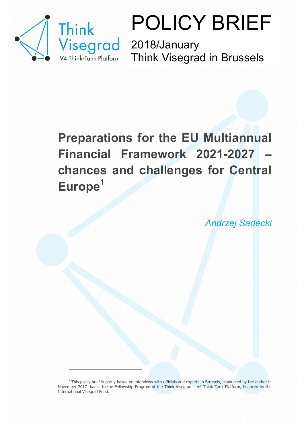

 $\overline{a}$ 

POLICY BRIEF

Think Visegrad in Brussels

## **Preparations for the EU Multiannual Financial Framework 2021-2027 – chances and challenges for Central Europe1**

*Andrzej Sadecki* 

 $<sup>1</sup>$  This policy brief is partly based on interviews with officials and experts in Brussels, conducted by the author in</sup> November 2017 thanks to the Fellowship Program of the Think Visegrad – V4 Think Tank Platform, financed by the International Visegrad Fund.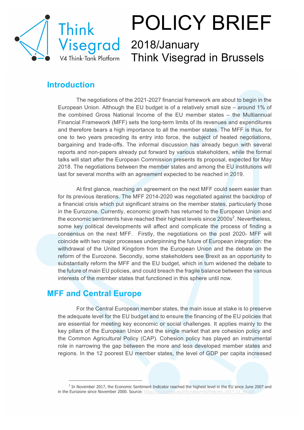

# POLICY BRIEF

## 2018/January Think Visegrad in Brussels

### **Introduction**

The negotiations of the 2021-2027 financial framework are about to begin in the European Union. Although the EU budget is of a relatively small size – around 1% of the combined Gross National Income of the EU member states – the Multiannual Financial Framework (MFF) sets the long-term limits of its revenues and expenditures and therefore bears a high importance to all the member states. The MFF is thus, for one to two years preceding its entry into force, the subject of heated negotiations, bargaining and trade-offs. The informal discussion has already begun with several reports and non-papers already put forward by various stakeholders, while the formal talks will start after the European Commission presents its proposal, expected for May 2018. The negotiations between the member states and among the EU institutions will last for several months with an agreement expected to be reached in 2019.

At first glance, reaching an agreement on the next MFF could seem easier than for its previous iterations. The MFF 2014-2020 was negotiated against the backdrop of a financial crisis which put significant strains on the member states, particularly those in the Eurozone. Currently, economic growth has returned to the European Union and the economic sentiments have reached their highest levels since 2000s<sup>2</sup>. Nevertheless, some key political developments will affect and complicate the process of finding a consensus on the next MFF. Firstly, the negotiations on the post 2020- MFF will coincide with two major processes underpinning the future of European integration: the withdrawal of the United Kingdom from the European Union and the debate on the reform of the Eurozone. Secondly, some stakeholders see Brexit as an opportunity to substantially reform the MFF and the EU budget, which in turn widened the debate to the future of main EU policies, and could breach the fragile balance between the various interests of the member states that functioned in this sphere until now.

### **MFF and Central Europe**

 $\overline{a}$ 

For the Central European member states, the main issue at stake is to preserve the adequate level for the EU budget and to ensure the financing of the EU policies that are essential for meeting key economic or social challenges. It applies mainly to the key pillars of the European Union and the single market that are cohesion policy and the Common Agricultural Policy (CAP). Cohesion policy has played an instrumental role in narrowing the gap between the more and less developed member states and regions. In the 12 poorest EU member states, the level of GDP per capita increased

 $<sup>2</sup>$  In November 2017, the Economic Sentiment Indicator reached the highest level in the EU since June 2007 and</sup> in the Eurozone since November 2000. Source: https://ec.europa.eu/info/sites/info/files/esi\_2017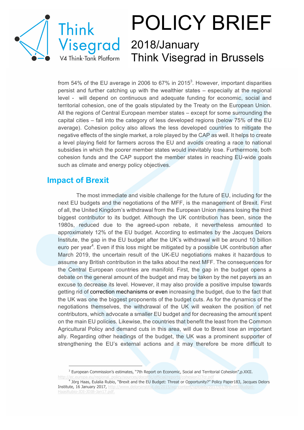

## POLICY BRIEF 2018/January Think Visegrad in Brussels

from 54% of the EU average in 2006 to 67% in 2015<sup>3</sup>. However, important disparities persist and further catching up with the wealthier states – especially at the regional level - will depend on continuous and adequate funding for economic, social and territorial cohesion, one of the goals stipulated by the Treaty on the European Union. All the regions of Central European member states – except for some surrounding the capital cities – fall into the category of less developed regions (below 75% of the EU average). Cohesion policy also allows the less developed countries to mitigate the negative effects of the single market, a role played by the CAP as well. It helps to create a level playing field for farmers across the EU and avoids creating a race to national subsidies in which the poorer member states would inevitably lose. Furthermore, both cohesion funds and the CAP support the member states in reaching EU-wide goals such as climate and energy policy objectives.

### **Impact of Brexit**

 $\overline{a}$ 

The most immediate and visible challenge for the future of EU, including for the next EU budgets and the negotiations of the MFF, is the management of Brexit. First of all, the United Kingdom's withdrawal from the European Union means losing the third biggest contributor to its budget. Although the UK contribution has been, since the 1980s, reduced due to the agreed-upon rebate, it nevertheless amounted to approximately 12% of the EU budget. According to estimates by the Jacques Delors Institute, the gap in the EU budget after the UK's withdrawal will be around 10 billion euro per year<sup>4</sup>. Even if this loss might be mitigated by a possible UK contribution after March 2019, the uncertain result of the UK-EU negotiations makes it hazardous to assume any British contribution in the talks about the next MFF. The consequences for the Central European countries are manifold. First, the gap in the budget opens a debate on the general amount of the budget and may be taken by the net payers as an excuse to decrease its level. However, it may also provide a positive impulse towards getting rid of correction mechanisms or even increasing the budget, due to the fact that the UK was one the biggest proponents of the budget cuts. As for the dynamics of the negotiations themselves, the withdrawal of the UK will weaken the position of net contributors, which advocate a smaller EU budget and for decreasing the amount spent on the main EU policies. Likewise, the countries that benefit the least from the Common Agricultural Policy and demand cuts in this area, will due to Brexit lose an important ally. Regarding other headings of the budget, the UK was a prominent supporter of strengthening the EU's external actions and it may therefore be more difficult to

<sup>&</sup>lt;sup>3</sup> European Commission's estimates, "7th Report on Economic, Social and Territorial Cohesion", p.XXII.

<sup>&</sup>lt;sup>4</sup> Jörg Haas, Eulalia Rubio, "Brexit and the EU Budget: Threat or Opportunity?" Policy Paper183, Jacques Delors Institute, 16 January 2017, http://www.delorsinstitut.de/2015/wp-content/u HaasRubio-JDI-JDIB-Jan17.pdf.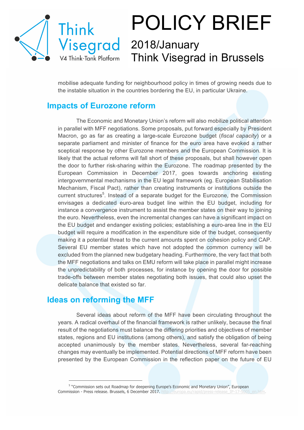

# POLICY BRIEF

## 2018/January Think Visegrad in Brussels

mobilise adequate funding for neighbourhood policy in times of growing needs due to the instable situation in the countries bordering the EU, in particular Ukraine.

### **Impacts of Eurozone reform**

The Economic and Monetary Union's reform will also mobilize political attention in parallel with MFF negotiations. Some proposals, put forward especially by President Macron, go as far as creating a large-scale Eurozone budget (*fiscal capacity*) or a separate parliament and minister of finance for the euro area have evoked a rather sceptical response by other Eurozone members and the European Commission. It is likely that the actual reforms will fall short of these proposals, but shall however open the door to further risk-sharing within the Eurozone. The roadmap presented by the European Commission in December 2017, goes towards anchoring existing intergovernmental mechanisms in the EU legal framework (eg. European Stabilisation Mechanism, Fiscal Pact), rather than creating instruments or institutions outside the current structures<sup>5</sup>. Instead of a separate budget for the Eurozone, the Commission envisages a dedicated euro-area budget line within the EU budget, including for instance a convergence instrument to assist the member states on their way to joining the euro. Nevertheless, even the incremental changes can have a significant impact on the EU budget and endanger existing policies; establishing a euro-area line in the EU budget will require a modification in the expenditure side of the budget, consequently making it a potential threat to the current amounts spent on cohesion policy and CAP. Several EU member states which have not adopted the common currency will be excluded from the planned new budgetary heading. Furthermore, the very fact that both the MFF negotiations and talks on EMU reform will take place in parallel might increase the unpredictability of both processes, for instance by opening the door for possible trade-offs between member states negotiating both issues, that could also upset the delicate balance that existed so far.

#### **Ideas on reforming the MFF**

 $\overline{a}$ 

Several ideas about reform of the MFF have been circulating throughout the years. A radical overhaul of the financial framework is rather unlikely, because the final result of the negotiations must balance the differing priorities and objectives of member states, regions and EU institutions (among others), and satisfy the obligation of being accepted unanimously by the member states. Nevertheless, several far-reaching changes may eventually be implemented. Potential directions of MFF reform have been presented by the European Commission in the reflection paper on the future of EU

<sup>5</sup> "Commission sets out Roadmap for deepening Europe's Economic and Monetary Union", European Commission - Press release. Brussels, 6 December 2017. http://europa.eu/rapid/press-release\_IP-17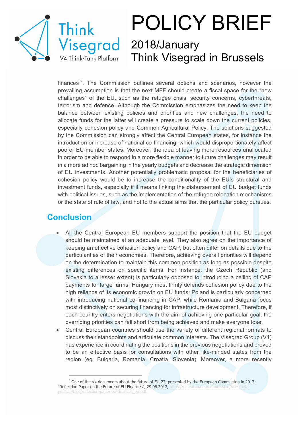

## POLICY BRIEF 2018/January Think Visegrad in Brussels

finances<sup>6</sup>. The Commission outlines several options and scenarios, however the prevailing assumption is that the next MFF should create a fiscal space for the "new challenges" of the EU, such as the refugee crisis, security concerns, cyberthreats, terrorism and defence. Although the Commission emphasizes the need to keep the balance between existing policies and priorities and new challenges, the need to allocate funds for the latter will create a pressure to scale down the current policies, especially cohesion policy and Common Agricultural Policy. The solutions suggested by the Commission can strongly affect the Central European states, for instance the introduction or increase of national co-financing, which would disproportionately affect poorer EU member states. Moreover, the idea of leaving more resources unallocated in order to be able to respond in a more flexible manner to future challenges may result in a more ad hoc bargaining in the yearly budgets and decrease the strategic dimension of EU investments. Another potentially problematic proposal for the beneficiaries of cohesion policy would be to increase the conditionality of the EU's structural and investment funds, especially if it means linking the disbursement of EU budget funds with political issues, such as the implementation of the refugee relocation mechanisms or the state of rule of law, and not to the actual aims that the particular policy pursues.

### **Conclusion**

 $\overline{a}$ 

- All the Central European EU members support the position that the EU budget should be maintained at an adequate level. They also agree on the importance of keeping an effective cohesion policy and CAP, but often differ on details due to the particularities of their economies. Therefore, achieving overall priorities will depend on the determination to maintain this common position as long as possible despite existing differences on specific items. For instance, the Czech Republic (and Slovakia to a lesser extent) is particularly opposed to introducing a ceiling of CAP payments for large farms; Hungary most firmly defends cohesion policy due to the high reliance of its economic growth on EU funds; Poland is particularly concerned with introducing national co-financing in CAP, while Romania and Bulgaria focus most distinctively on securing financing for infrastructure development. Therefore, if each country enters negotiations with the aim of achieving one particular goal, the overriding priorities can fall short from being achieved and make everyone lose.
- Central European countries should use the variety of different regional formats to discuss their standpoints and articulate common interests. The Visegrad Group (V4) has experience in coordinating the positions in the previous negotiations and proved to be an effective basis for consultations with other like-minded states from the region (eg. Bulgaria, Romania, Croatia, Slovenia). Moreover, a more recently

 $6$  One of the six documents about the future of EU-27, presented by the European Commission in 2017: "Reflection Paper on the Future of EU Finances", 29.06.2017, https://ec.europa.eu/commi political/files/reflection-paper-eu-finances\_en.pdf.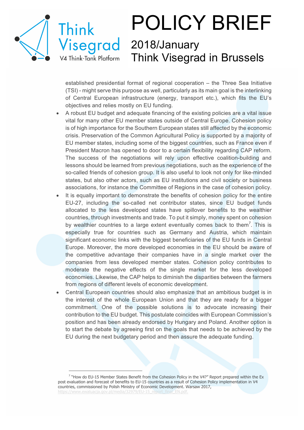

 $\overline{a}$ 

## POLICY BRIEF 2018/January

Think Visegrad in Brussels

established presidential format of regional cooperation – the Three Sea Initiative (TSI) - might serve this purpose as well, particularly as its main goal is the interlinking of Central European infrastructure (energy, transport etc.), which fits the EU's objectives and relies mostly on EU funding.

- A robust EU budget and adequate financing of the existing policies are a vital issue vital for many other EU member states outside of Central Europe. Cohesion policy is of high importance for the Southern European states still affected by the economic crisis. Preservation of the Common Agricultural Policy is supported by a majority of EU member states, including some of the biggest countries, such as France even if President Macron has opened to door to a certain flexibility regarding CAP reform. The success of the negotiations will rely upon effective coalition-building and lessons should be learned from previous negotiations, such as the experience of the so-called friends of cohesion group. It is also useful to look not only for like-minded states, but also other actors, such as EU institutions and civil society or business associations, for instance the Committee of Regions in the case of cohesion policy.
- It is equally important to demonstrate the benefits of cohesion policy for the entire EU-27, including the so-called net contributor states, since EU budget funds allocated to the less developed states have spillover benefits to the wealthier countries, through investments and trade. To put it simply, money spent on cohesion by wealthier countries to a large extent eventually comes back to them<sup>7</sup>. This is especially true for countries such as Germany and Austria, which maintain significant economic links with the biggest beneficiaries of the EU funds in Central Europe. Moreover, the more developed economies in the EU should be aware of the competitive advantage their companies have in a single market over the companies from less developed member states. Cohesion policy contributes to moderate the negative effects of the single market for the less developed economies. Likewise, the CAP helps to diminish the disparities between the farmers from regions of different levels of economic development.
- Central European countries should also emphasize that an ambitious budget is in the interest of the whole European Union and that they are ready for a bigger commitment. One of the possible solutions is to advocate increasing their contribution to the EU budget. This postulate coincides with European Commission's position and has been already endorsed by Hungary and Poland. Another option is to start the debate by agreeing first on the goals that needs to be achieved by the EU during the next budgetary period and then assure the adequate funding.

<sup>7</sup> "How do EU-15 Member States Benefit from the Cohesion Policy in the V4?" Report prepared within the Ex post evaluation and forecast of benefits to EU-15 countries as a result of Cohesion Policy implementation in V4 countries, commissioned by Polish Ministry of Economic Development. Warsaw 2017, https://www.ewaluacja.gov.pl/media/32979/EU-15\_report\_final\_EN.pdf